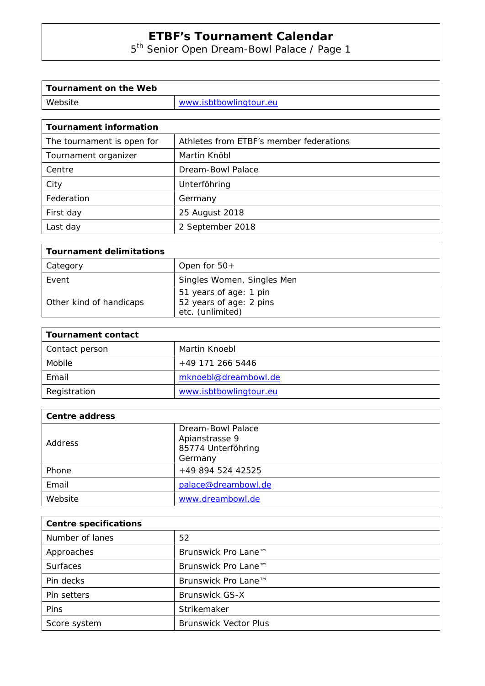5<sup>th</sup> Senior Open Dream-Bowl Palace / Page 1

| Tournament on the Web |                        |
|-----------------------|------------------------|
| Website               | www.isbtbowlingtour.eu |

| <b>Tournament information</b> |                                         |  |  |  |
|-------------------------------|-----------------------------------------|--|--|--|
| The tournament is open for    | Athletes from ETBF's member federations |  |  |  |
| Tournament organizer          | Martin Knöbl                            |  |  |  |
| Centre                        | Dream-Bowl Palace                       |  |  |  |
| City                          | Unterföhring                            |  |  |  |
| Federation                    | Germany                                 |  |  |  |
| First day                     | 25 August 2018                          |  |  |  |
| Last day                      | 2 September 2018                        |  |  |  |

| <b>Tournament delimitations</b>                                       |  |  |  |
|-----------------------------------------------------------------------|--|--|--|
| Open for $50+$                                                        |  |  |  |
| Singles Women, Singles Men                                            |  |  |  |
| 51 years of age: 1 pin<br>52 years of age: 2 pins<br>etc. (unlimited) |  |  |  |
|                                                                       |  |  |  |

| <b>Tournament contact</b> |                        |  |
|---------------------------|------------------------|--|
| Contact person            | Martin Knoebl          |  |
| Mobile                    | +49 171 266 5446       |  |
| Email                     | mknoebl@dreambowl.de   |  |
| Registration              | www.isbtbowlingtour.eu |  |

| Centre address |                     |  |
|----------------|---------------------|--|
| Address        | Dream-Bowl Palace   |  |
|                | Apianstrasse 9      |  |
|                | 85774 Unterföhring  |  |
|                | Germany             |  |
| Phone          | +49 894 524 42525   |  |
| Email          | palace@dreambowl.de |  |
| Website        | www.dreambowl.de    |  |

| <b>Centre specifications</b> |                              |  |
|------------------------------|------------------------------|--|
| Number of lanes              | 52                           |  |
| Approaches                   | Brunswick Pro Lane™          |  |
| <b>Surfaces</b>              | Brunswick Pro Lane™          |  |
| Pin decks                    | Brunswick Pro Lane™          |  |
| Pin setters                  | <b>Brunswick GS-X</b>        |  |
| Pins                         | Strikemaker                  |  |
| Score system                 | <b>Brunswick Vector Plus</b> |  |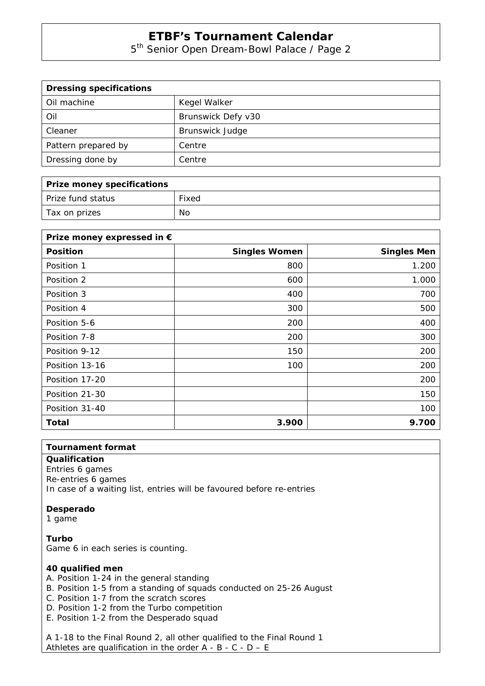5<sup>th</sup> Senior Open Dream-Bowl Palace / Page 2

| <b>Dressing specifications</b> |                        |  |
|--------------------------------|------------------------|--|
| Oil machine                    | Kegel Walker           |  |
| Oil                            | Brunswick Defy v30     |  |
| Cleaner                        | <b>Brunswick Judge</b> |  |
| Pattern prepared by            | Centre                 |  |
| Dressing done by               | Centre                 |  |

| Prize money specifications |       |  |
|----------------------------|-------|--|
| Prize fund status          | Fixed |  |
| Tax on prizes              | No    |  |

| Prize money expressed in € |                      |                    |
|----------------------------|----------------------|--------------------|
| <b>Position</b>            | <b>Singles Women</b> | <b>Singles Men</b> |
| Position 1                 | 800                  | 1.200              |
| Position 2                 | 600                  | 1.000              |
| Position 3                 | 400                  | 700                |
| Position 4                 | 300                  | 500                |
| Position 5-6               | 200                  | 400                |
| Position 7-8               | 200                  | 300                |
| Position 9-12              | 150                  | 200                |
| Position 13-16             | 100                  | 200                |
| Position 17-20             |                      | 200                |
| Position 21-30             |                      | 150                |
| Position 31-40             |                      | 100                |
| Total                      | 3.900                | 9.700              |

#### **Tournament format**

### **Qualification**

Entries 6 games Re-entries 6 games In case of a waiting list, entries will be favoured before re-entries

#### **Desperado**

1 game

**Turbo**  Game 6 in each series is counting.

#### **40 qualified men**

- A. Position 1-24 in the general standing
- B. Position 1-5 from a standing of squads conducted on 25-26 August
- C. Position 1-7 from the scratch scores
- D. Position 1-2 from the Turbo competition
- E. Position 1-2 from the Desperado squad

A 1-18 to the Final Round 2, all other qualified to the Final Round 1 Athletes are qualification in the order  $A - B - C - D - E$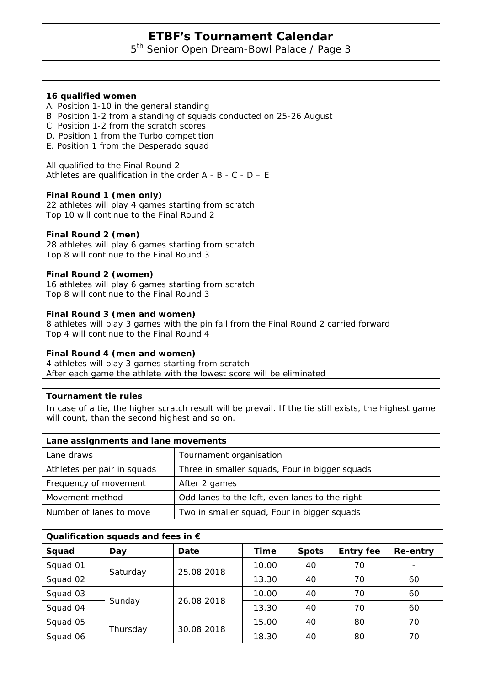5<sup>th</sup> Senior Open Dream-Bowl Palace / Page 3

### **16 qualified women**

- A. Position 1-10 in the general standing
- B. Position 1-2 from a standing of squads conducted on 25-26 August
- C. Position 1-2 from the scratch scores
- D. Position 1 from the Turbo competition
- E. Position 1 from the Desperado squad

All qualified to the Final Round 2 Athletes are qualification in the order  $A - B - C - D - E$ 

### **Final Round 1 (men only)**

22 athletes will play 4 games starting from scratch Top 10 will continue to the Final Round 2

### **Final Round 2 (men)**

28 athletes will play 6 games starting from scratch Top 8 will continue to the Final Round 3

### **Final Round 2 (women)**

16 athletes will play 6 games starting from scratch Top 8 will continue to the Final Round 3

### **Final Round 3 (men and women)**

8 athletes will play 3 games with the pin fall from the Final Round 2 carried forward Top 4 will continue to the Final Round 4

#### **Final Round 4 (men and women)**

4 athletes will play 3 games starting from scratch After each game the athlete with the lowest score will be eliminated

### **Tournament tie rules**

In case of a tie, the higher scratch result will be prevail. If the tie still exists, the highest game will count, than the second highest and so on.

| Lane assignments and lane movements |                                                |  |  |  |
|-------------------------------------|------------------------------------------------|--|--|--|
| Lane draws                          | Tournament organisation                        |  |  |  |
| Athletes per pair in squads         | Three in smaller squads, Four in bigger squads |  |  |  |
| Frequency of movement               | After 2 games                                  |  |  |  |
| Movement method                     | Odd lanes to the left, even lanes to the right |  |  |  |
| Number of lanes to move             | Two in smaller squad, Four in bigger squads    |  |  |  |

| Qualification squads and fees in $\epsilon$ |          |            |       |              |                  |          |
|---------------------------------------------|----------|------------|-------|--------------|------------------|----------|
| Squad                                       | Day      | Date       | Time  | <b>Spots</b> | <b>Entry fee</b> | Re-entry |
| Squad 01                                    | Saturday | 25.08.2018 | 10.00 | 40           | 70               |          |
| Squad 02                                    |          |            | 13.30 | 40           | 70               | 60       |
| Squad 03                                    |          | 26.08.2018 | 10.00 | 40           | 70               | 60       |
| Squad 04                                    | Sunday   |            | 13.30 | 40           | 70               | 60       |
| Squad 05                                    | Thursday | 30.08.2018 | 15.00 | 40           | 80               | 70       |
| Squad 06                                    |          |            | 18.30 | 40           | 80               | 70       |